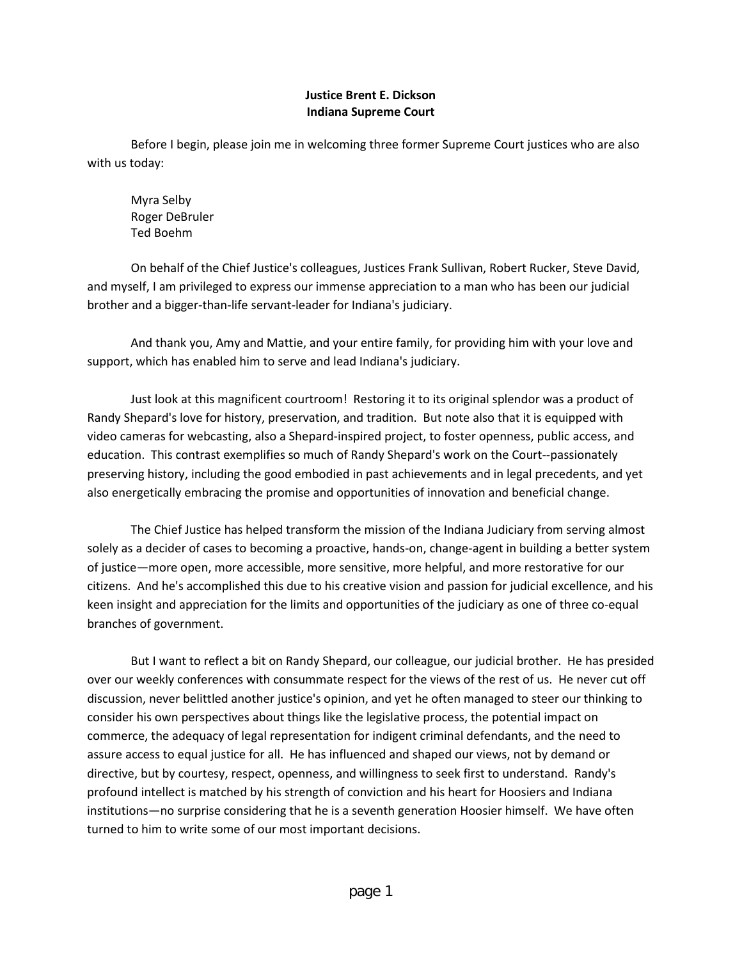## **Justice Brent E. Dickson Indiana Supreme Court**

Before I begin, please join me in welcoming three former Supreme Court justices who are also with us today:

Myra Selby Roger DeBruler Ted Boehm

On behalf of the Chief Justice's colleagues, Justices Frank Sullivan, Robert Rucker, Steve David, and myself, I am privileged to express our immense appreciation to a man who has been our judicial brother and a bigger-than-life servant-leader for Indiana's judiciary.

And thank you, Amy and Mattie, and your entire family, for providing him with your love and support, which has enabled him to serve and lead Indiana's judiciary.

Just look at this magnificent courtroom! Restoring it to its original splendor was a product of Randy Shepard's love for history, preservation, and tradition. But note also that it is equipped with video cameras for webcasting, also a Shepard-inspired project, to foster openness, public access, and education. This contrast exemplifies so much of Randy Shepard's work on the Court--passionately preserving history, including the good embodied in past achievements and in legal precedents, and yet also energetically embracing the promise and opportunities of innovation and beneficial change.

The Chief Justice has helped transform the mission of the Indiana Judiciary from serving almost solely as a decider of cases to becoming a proactive, hands-on, change-agent in building a better system of justice—more open, more accessible, more sensitive, more helpful, and more restorative for our citizens. And he's accomplished this due to his creative vision and passion for judicial excellence, and his keen insight and appreciation for the limits and opportunities of the judiciary as one of three co-equal branches of government.

But I want to reflect a bit on Randy Shepard, our colleague, our judicial brother. He has presided over our weekly conferences with consummate respect for the views of the rest of us. He never cut off discussion, never belittled another justice's opinion, and yet he often managed to steer our thinking to consider his own perspectives about things like the legislative process, the potential impact on commerce, the adequacy of legal representation for indigent criminal defendants, and the need to assure access to equal justice for all. He has influenced and shaped our views, not by demand or directive, but by courtesy, respect, openness, and willingness to seek first to understand. Randy's profound intellect is matched by his strength of conviction and his heart for Hoosiers and Indiana institutions—no surprise considering that he is a seventh generation Hoosier himself. We have often turned to him to write some of our most important decisions.